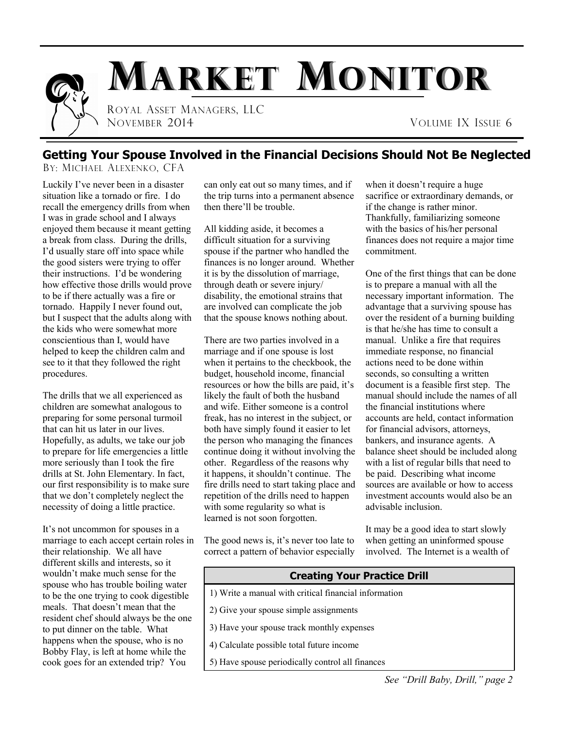

### **Getting Your Spouse Involved in the Financial Decisions Should Not Be Neglected**

BY: MICHAEL ALEXENKO, CFA

Luckily I've never been in a disaster situation like a tornado or fire. I do recall the emergency drills from when I was in grade school and I always enjoyed them because it meant getting a break from class. During the drills, I'd usually stare off into space while the good sisters were trying to offer their instructions. I'd be wondering how effective those drills would prove to be if there actually was a fire or tornado. Happily I never found out, but I suspect that the adults along with the kids who were somewhat more conscientious than I, would have helped to keep the children calm and see to it that they followed the right procedures.

The drills that we all experienced as children are somewhat analogous to preparing for some personal turmoil that can hit us later in our lives. Hopefully, as adults, we take our job to prepare for life emergencies a little more seriously than I took the fire drills at St. John Elementary. In fact, our first responsibility is to make sure that we don't completely neglect the necessity of doing a little practice.

It's not uncommon for spouses in a marriage to each accept certain roles in their relationship. We all have different skills and interests, so it wouldn't make much sense for the spouse who has trouble boiling water to be the one trying to cook digestible meals. That doesn't mean that the resident chef should always be the one to put dinner on the table. What happens when the spouse, who is no Bobby Flay, is left at home while the cook goes for an extended trip? You

can only eat out so many times, and if the trip turns into a permanent absence then there'll be trouble.

All kidding aside, it becomes a difficult situation for a surviving spouse if the partner who handled the finances is no longer around. Whether it is by the dissolution of marriage, through death or severe injury/ disability, the emotional strains that are involved can complicate the job that the spouse knows nothing about.

There are two parties involved in a marriage and if one spouse is lost when it pertains to the checkbook, the budget, household income, financial resources or how the bills are paid, it's likely the fault of both the husband and wife. Either someone is a control freak, has no interest in the subject, or both have simply found it easier to let the person who managing the finances continue doing it without involving the other. Regardless of the reasons why it happens, it shouldn't continue. The fire drills need to start taking place and repetition of the drills need to happen with some regularity so what is learned is not soon forgotten.

The good news is, it's never too late to correct a pattern of behavior especially

when it doesn't require a huge sacrifice or extraordinary demands, or if the change is rather minor. Thankfully, familiarizing someone with the basics of his/her personal finances does not require a major time commitment.

One of the first things that can be done is to prepare a manual with all the necessary important information. The advantage that a surviving spouse has over the resident of a burning building is that he/she has time to consult a manual. Unlike a fire that requires immediate response, no financial actions need to be done within seconds, so consulting a written document is a feasible first step. The manual should include the names of all the financial institutions where accounts are held, contact information for financial advisors, attorneys, bankers, and insurance agents. A balance sheet should be included along with a list of regular bills that need to be paid. Describing what income sources are available or how to access investment accounts would also be an advisable inclusion.

It may be a good idea to start slowly when getting an uninformed spouse involved. The Internet is a wealth of

## **Creating Your Practice Drill** 1) Write a manual with critical financial information 2) Give your spouse simple assignments 3) Have your spouse track monthly expenses 4) Calculate possible total future income

5) Have spouse periodically control all finances

*See "Drill Baby, Drill," page 2*